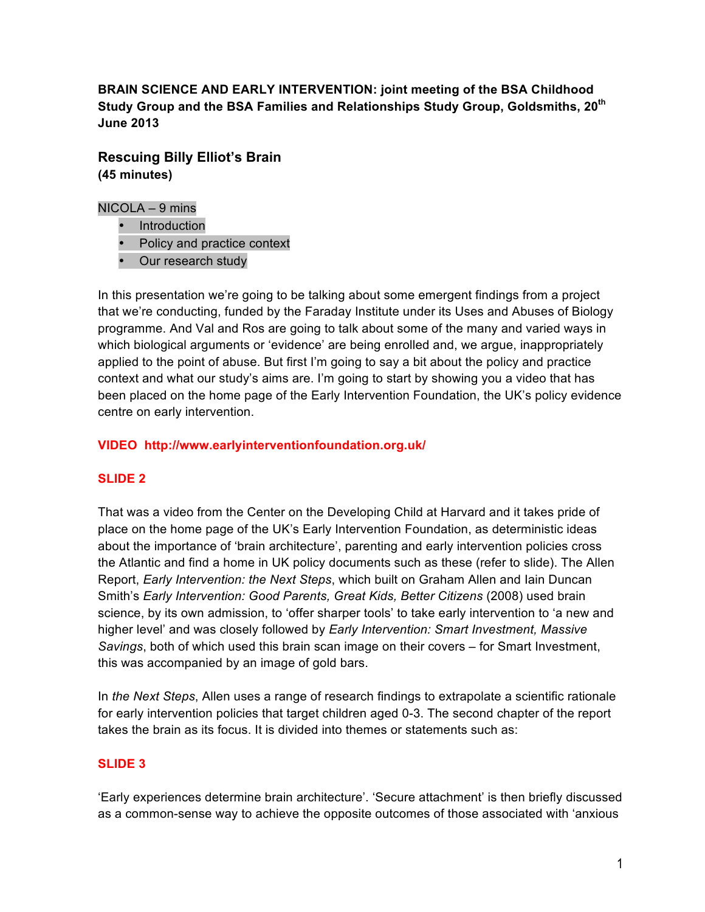**BRAIN SCIENCE AND EARLY INTERVENTION: joint meeting of the BSA Childhood Study Group and the BSA Families and Relationships Study Group, Goldsmiths, 20th June 2013**

# **Rescuing Billy Elliot's Brain (45 minutes)**

#### NICOLA – 9 mins

- **Introduction**
- Policy and practice context
- Our research study

In this presentation we're going to be talking about some emergent findings from a project that we're conducting, funded by the Faraday Institute under its Uses and Abuses of Biology programme. And Val and Ros are going to talk about some of the many and varied ways in which biological arguments or 'evidence' are being enrolled and, we argue, inappropriately applied to the point of abuse. But first I'm going to say a bit about the policy and practice context and what our study's aims are. I'm going to start by showing you a video that has been placed on the home page of the Early Intervention Foundation, the UK's policy evidence centre on early intervention.

## **VIDEO http://www.earlyinterventionfoundation.org.uk/**

## **SLIDE 2**

That was a video from the Center on the Developing Child at Harvard and it takes pride of place on the home page of the UK's Early Intervention Foundation, as deterministic ideas about the importance of 'brain architecture', parenting and early intervention policies cross the Atlantic and find a home in UK policy documents such as these (refer to slide). The Allen Report, *Early Intervention: the Next Steps*, which built on Graham Allen and Iain Duncan Smith's *Early Intervention: Good Parents, Great Kids, Better Citizens (2008)* used brain science, by its own admission, to 'offer sharper tools' to take early intervention to 'a new and higher level' and was closely followed by *Early Intervention: Smart Investment, Massive Savings*, both of which used this brain scan image on their covers – for Smart Investment, this was accompanied by an image of gold bars.

In *the Next Steps*, Allen uses a range of research findings to extrapolate a scientific rationale for early intervention policies that target children aged 0-3. The second chapter of the report takes the brain as its focus. It is divided into themes or statements such as:

# **SLIDE 3**

'Early experiences determine brain architecture'. 'Secure attachment' is then briefly discussed as a common-sense way to achieve the opposite outcomes of those associated with 'anxious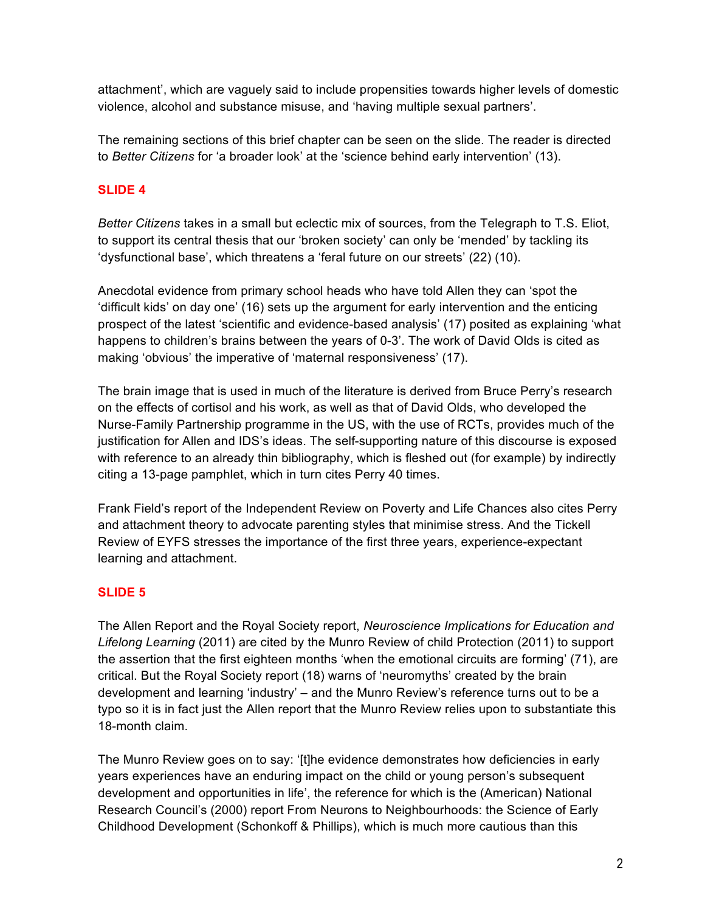attachment', which are vaguely said to include propensities towards higher levels of domestic violence, alcohol and substance misuse, and 'having multiple sexual partners'.

The remaining sections of this brief chapter can be seen on the slide. The reader is directed to *Better Citizens* for 'a broader look' at the 'science behind early intervention' (13).

# **SLIDE 4**

*Better Citizens* takes in a small but eclectic mix of sources, from the Telegraph to T.S. Eliot, to support its central thesis that our 'broken society' can only be 'mended' by tackling its 'dysfunctional base', which threatens a 'feral future on our streets' (22) (10).

Anecdotal evidence from primary school heads who have told Allen they can 'spot the 'difficult kids' on day one' (16) sets up the argument for early intervention and the enticing prospect of the latest 'scientific and evidence-based analysis' (17) posited as explaining 'what happens to children's brains between the years of 0-3'. The work of David Olds is cited as making 'obvious' the imperative of 'maternal responsiveness' (17).

The brain image that is used in much of the literature is derived from Bruce Perry's research on the effects of cortisol and his work, as well as that of David Olds, who developed the Nurse-Family Partnership programme in the US, with the use of RCTs, provides much of the justification for Allen and IDS's ideas. The self-supporting nature of this discourse is exposed with reference to an already thin bibliography, which is fleshed out (for example) by indirectly citing a 13-page pamphlet, which in turn cites Perry 40 times.

Frank Field's report of the Independent Review on Poverty and Life Chances also cites Perry and attachment theory to advocate parenting styles that minimise stress. And the Tickell Review of EYFS stresses the importance of the first three years, experience-expectant learning and attachment.

## **SLIDE 5**

The Allen Report and the Royal Society report, *Neuroscience Implications for Education and Lifelong Learning* (2011) are cited by the Munro Review of child Protection (2011) to support the assertion that the first eighteen months 'when the emotional circuits are forming' (71), are critical. But the Royal Society report (18) warns of 'neuromyths' created by the brain development and learning 'industry' – and the Munro Review's reference turns out to be a typo so it is in fact just the Allen report that the Munro Review relies upon to substantiate this 18-month claim.

The Munro Review goes on to say: '[t]he evidence demonstrates how deficiencies in early years experiences have an enduring impact on the child or young person's subsequent development and opportunities in life', the reference for which is the (American) National Research Council's (2000) report From Neurons to Neighbourhoods: the Science of Early Childhood Development (Schonkoff & Phillips), which is much more cautious than this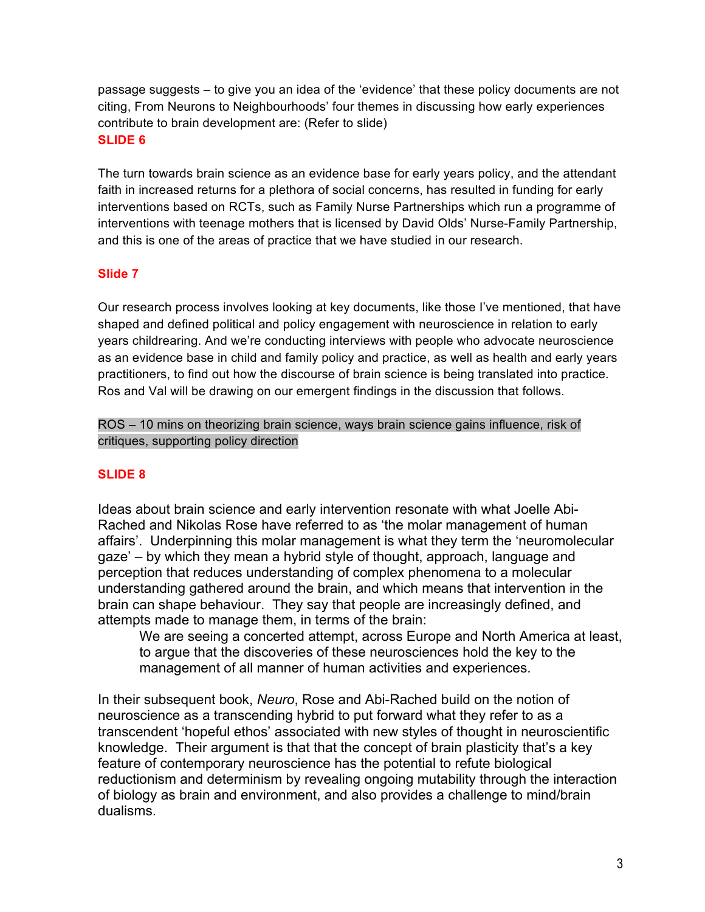passage suggests – to give you an idea of the 'evidence' that these policy documents are not citing, From Neurons to Neighbourhoods' four themes in discussing how early experiences contribute to brain development are: (Refer to slide) **SLIDE 6**

The turn towards brain science as an evidence base for early years policy, and the attendant faith in increased returns for a plethora of social concerns, has resulted in funding for early interventions based on RCTs, such as Family Nurse Partnerships which run a programme of interventions with teenage mothers that is licensed by David Olds' Nurse-Family Partnership, and this is one of the areas of practice that we have studied in our research.

# **Slide 7**

Our research process involves looking at key documents, like those I've mentioned, that have shaped and defined political and policy engagement with neuroscience in relation to early years childrearing. And we're conducting interviews with people who advocate neuroscience as an evidence base in child and family policy and practice, as well as health and early years practitioners, to find out how the discourse of brain science is being translated into practice. Ros and Val will be drawing on our emergent findings in the discussion that follows.

ROS – 10 mins on theorizing brain science, ways brain science gains influence, risk of critiques, supporting policy direction

## **SLIDE 8**

Ideas about brain science and early intervention resonate with what Joelle Abi-Rached and Nikolas Rose have referred to as 'the molar management of human affairs'. Underpinning this molar management is what they term the 'neuromolecular gaze' – by which they mean a hybrid style of thought, approach, language and perception that reduces understanding of complex phenomena to a molecular understanding gathered around the brain, and which means that intervention in the brain can shape behaviour. They say that people are increasingly defined, and attempts made to manage them, in terms of the brain:

We are seeing a concerted attempt, across Europe and North America at least, to argue that the discoveries of these neurosciences hold the key to the management of all manner of human activities and experiences.

In their subsequent book, *Neuro*, Rose and Abi-Rached build on the notion of neuroscience as a transcending hybrid to put forward what they refer to as a transcendent 'hopeful ethos' associated with new styles of thought in neuroscientific knowledge. Their argument is that that the concept of brain plasticity that's a key feature of contemporary neuroscience has the potential to refute biological reductionism and determinism by revealing ongoing mutability through the interaction of biology as brain and environment, and also provides a challenge to mind/brain dualisms.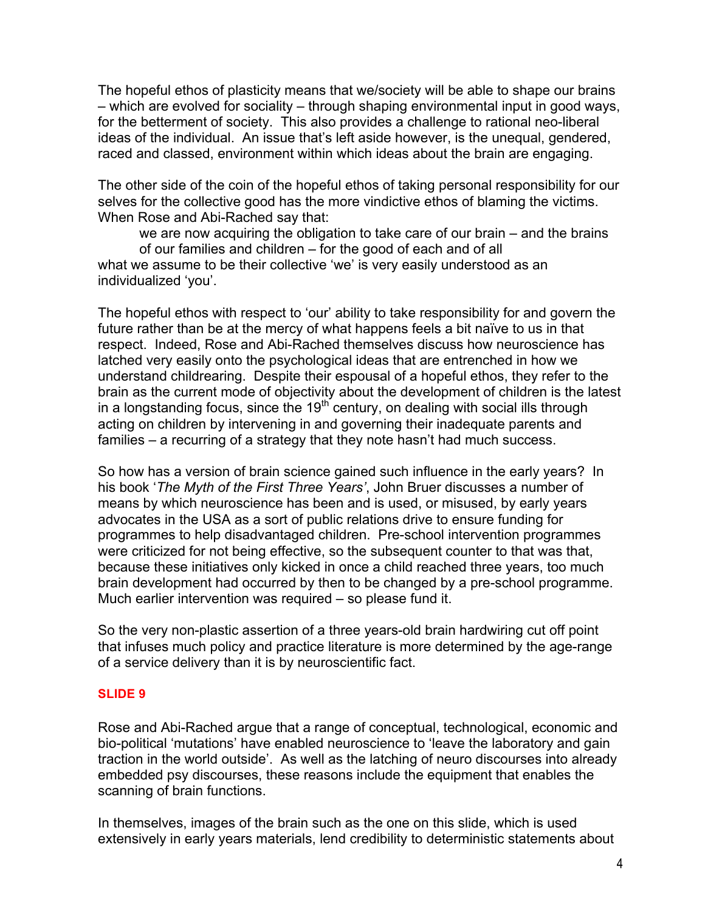The hopeful ethos of plasticity means that we/society will be able to shape our brains – which are evolved for sociality – through shaping environmental input in good ways, for the betterment of society. This also provides a challenge to rational neo-liberal ideas of the individual. An issue that's left aside however, is the unequal, gendered, raced and classed, environment within which ideas about the brain are engaging.

The other side of the coin of the hopeful ethos of taking personal responsibility for our selves for the collective good has the more vindictive ethos of blaming the victims. When Rose and Abi-Rached say that:

we are now acquiring the obligation to take care of our brain – and the brains of our families and children – for the good of each and of all what we assume to be their collective 'we' is very easily understood as an individualized 'you'.

The hopeful ethos with respect to 'our' ability to take responsibility for and govern the future rather than be at the mercy of what happens feels a bit naïve to us in that respect. Indeed, Rose and Abi-Rached themselves discuss how neuroscience has latched very easily onto the psychological ideas that are entrenched in how we understand childrearing. Despite their espousal of a hopeful ethos, they refer to the brain as the current mode of objectivity about the development of children is the latest in a longstanding focus, since the  $19<sup>th</sup>$  century, on dealing with social ills through acting on children by intervening in and governing their inadequate parents and families – a recurring of a strategy that they note hasn't had much success.

So how has a version of brain science gained such influence in the early years? In his book '*The Myth of the First Three Years'*, John Bruer discusses a number of means by which neuroscience has been and is used, or misused, by early years advocates in the USA as a sort of public relations drive to ensure funding for programmes to help disadvantaged children. Pre-school intervention programmes were criticized for not being effective, so the subsequent counter to that was that, because these initiatives only kicked in once a child reached three years, too much brain development had occurred by then to be changed by a pre-school programme. Much earlier intervention was required – so please fund it.

So the very non-plastic assertion of a three years-old brain hardwiring cut off point that infuses much policy and practice literature is more determined by the age-range of a service delivery than it is by neuroscientific fact.

## **SLIDE 9**

Rose and Abi-Rached argue that a range of conceptual, technological, economic and bio-political 'mutations' have enabled neuroscience to 'leave the laboratory and gain traction in the world outside'. As well as the latching of neuro discourses into already embedded psy discourses, these reasons include the equipment that enables the scanning of brain functions.

In themselves, images of the brain such as the one on this slide, which is used extensively in early years materials, lend credibility to deterministic statements about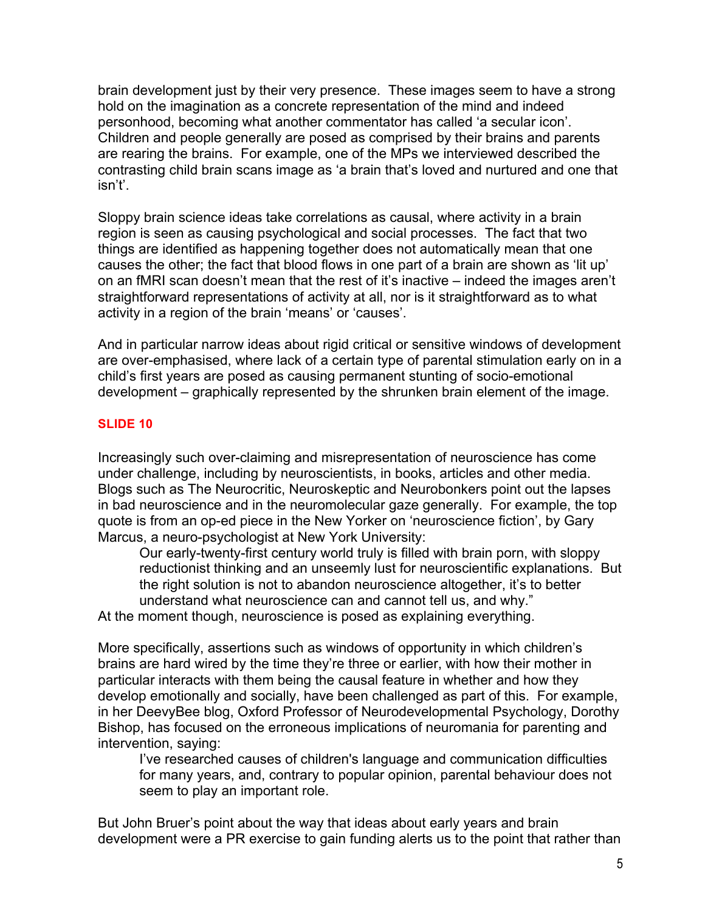brain development just by their very presence. These images seem to have a strong hold on the imagination as a concrete representation of the mind and indeed personhood, becoming what another commentator has called 'a secular icon'. Children and people generally are posed as comprised by their brains and parents are rearing the brains. For example, one of the MPs we interviewed described the contrasting child brain scans image as 'a brain that's loved and nurtured and one that isn't'.

Sloppy brain science ideas take correlations as causal, where activity in a brain region is seen as causing psychological and social processes. The fact that two things are identified as happening together does not automatically mean that one causes the other; the fact that blood flows in one part of a brain are shown as 'lit up' on an fMRI scan doesn't mean that the rest of it's inactive – indeed the images aren't straightforward representations of activity at all, nor is it straightforward as to what activity in a region of the brain 'means' or 'causes'.

And in particular narrow ideas about rigid critical or sensitive windows of development are over-emphasised, where lack of a certain type of parental stimulation early on in a child's first years are posed as causing permanent stunting of socio-emotional development – graphically represented by the shrunken brain element of the image.

# **SLIDE 10**

Increasingly such over-claiming and misrepresentation of neuroscience has come under challenge, including by neuroscientists, in books, articles and other media. Blogs such as The Neurocritic, Neuroskeptic and Neurobonkers point out the lapses in bad neuroscience and in the neuromolecular gaze generally. For example, the top quote is from an op-ed piece in the New Yorker on 'neuroscience fiction', by Gary Marcus, a neuro-psychologist at New York University:

Our early-twenty-first century world truly is filled with brain porn, with sloppy reductionist thinking and an unseemly lust for neuroscientific explanations. But the right solution is not to abandon neuroscience altogether, it's to better understand what neuroscience can and cannot tell us, and why."

At the moment though, neuroscience is posed as explaining everything.

More specifically, assertions such as windows of opportunity in which children's brains are hard wired by the time they're three or earlier, with how their mother in particular interacts with them being the causal feature in whether and how they develop emotionally and socially, have been challenged as part of this. For example, in her DeevyBee blog, Oxford Professor of Neurodevelopmental Psychology, Dorothy Bishop, has focused on the erroneous implications of neuromania for parenting and intervention, saying:

I've researched causes of children's language and communication difficulties for many years, and, contrary to popular opinion, parental behaviour does not seem to play an important role.

But John Bruer's point about the way that ideas about early years and brain development were a PR exercise to gain funding alerts us to the point that rather than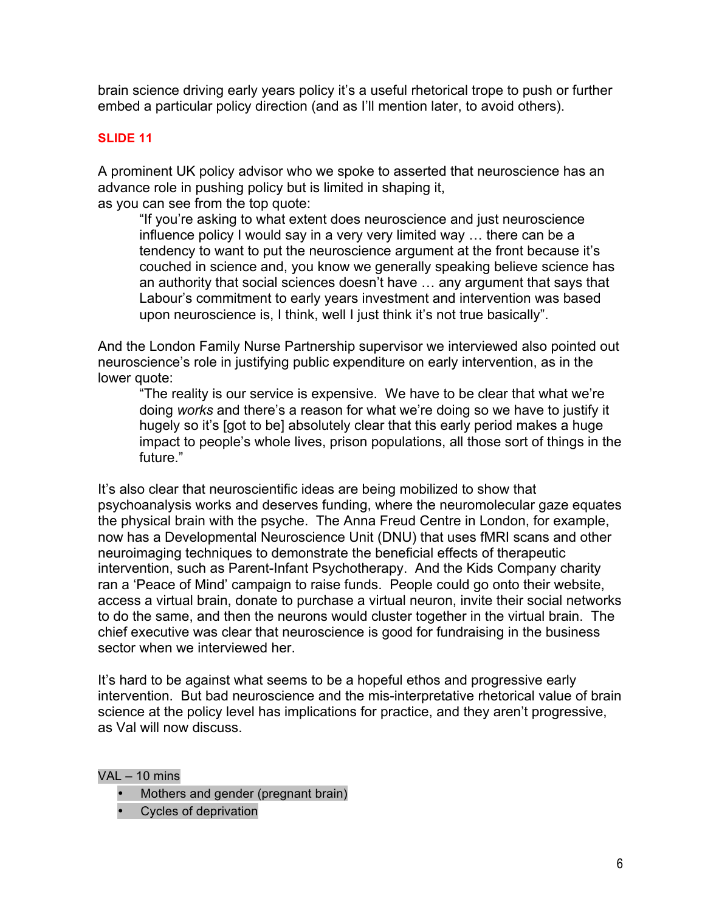brain science driving early years policy it's a useful rhetorical trope to push or further embed a particular policy direction (and as I'll mention later, to avoid others).

### **SLIDE 11**

A prominent UK policy advisor who we spoke to asserted that neuroscience has an advance role in pushing policy but is limited in shaping it, as you can see from the top quote:

"If you're asking to what extent does neuroscience and just neuroscience influence policy I would say in a very very limited way … there can be a tendency to want to put the neuroscience argument at the front because it's couched in science and, you know we generally speaking believe science has an authority that social sciences doesn't have … any argument that says that Labour's commitment to early years investment and intervention was based upon neuroscience is, I think, well I just think it's not true basically".

And the London Family Nurse Partnership supervisor we interviewed also pointed out neuroscience's role in justifying public expenditure on early intervention, as in the lower quote:

"The reality is our service is expensive. We have to be clear that what we're doing *works* and there's a reason for what we're doing so we have to justify it hugely so it's [got to be] absolutely clear that this early period makes a huge impact to people's whole lives, prison populations, all those sort of things in the future."

It's also clear that neuroscientific ideas are being mobilized to show that psychoanalysis works and deserves funding, where the neuromolecular gaze equates the physical brain with the psyche. The Anna Freud Centre in London, for example, now has a Developmental Neuroscience Unit (DNU) that uses fMRI scans and other neuroimaging techniques to demonstrate the beneficial effects of therapeutic intervention, such as Parent-Infant Psychotherapy. And the Kids Company charity ran a 'Peace of Mind' campaign to raise funds. People could go onto their website, access a virtual brain, donate to purchase a virtual neuron, invite their social networks to do the same, and then the neurons would cluster together in the virtual brain. The chief executive was clear that neuroscience is good for fundraising in the business sector when we interviewed her.

It's hard to be against what seems to be a hopeful ethos and progressive early intervention. But bad neuroscience and the mis-interpretative rhetorical value of brain science at the policy level has implications for practice, and they aren't progressive, as Val will now discuss.

VAL – 10 mins

- Mothers and gender (pregnant brain)
- Cycles of deprivation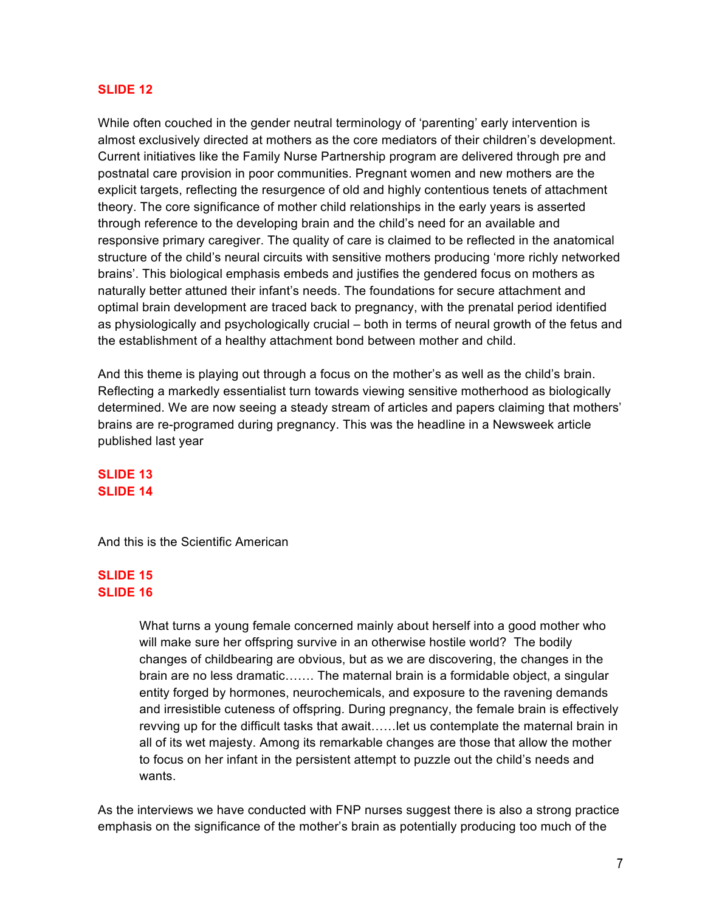#### **SLIDE 12**

While often couched in the gender neutral terminology of 'parenting' early intervention is almost exclusively directed at mothers as the core mediators of their children's development. Current initiatives like the Family Nurse Partnership program are delivered through pre and postnatal care provision in poor communities. Pregnant women and new mothers are the explicit targets, reflecting the resurgence of old and highly contentious tenets of attachment theory. The core significance of mother child relationships in the early years is asserted through reference to the developing brain and the child's need for an available and responsive primary caregiver. The quality of care is claimed to be reflected in the anatomical structure of the child's neural circuits with sensitive mothers producing 'more richly networked brains'. This biological emphasis embeds and justifies the gendered focus on mothers as naturally better attuned their infant's needs. The foundations for secure attachment and optimal brain development are traced back to pregnancy, with the prenatal period identified as physiologically and psychologically crucial – both in terms of neural growth of the fetus and the establishment of a healthy attachment bond between mother and child.

And this theme is playing out through a focus on the mother's as well as the child's brain. Reflecting a markedly essentialist turn towards viewing sensitive motherhood as biologically determined. We are now seeing a steady stream of articles and papers claiming that mothers' brains are re-programed during pregnancy. This was the headline in a Newsweek article published last year

**SLIDE 13 SLIDE 14**

And this is the Scientific American

#### **SLIDE 15 SLIDE 16**

What turns a young female concerned mainly about herself into a good mother who will make sure her offspring survive in an otherwise hostile world? The bodily changes of childbearing are obvious, but as we are discovering, the changes in the brain are no less dramatic……. The maternal brain is a formidable object, a singular entity forged by hormones, neurochemicals, and exposure to the ravening demands and irresistible cuteness of offspring. During pregnancy, the female brain is effectively revving up for the difficult tasks that await……let us contemplate the maternal brain in all of its wet majesty. Among its remarkable changes are those that allow the mother to focus on her infant in the persistent attempt to puzzle out the child's needs and wants.

As the interviews we have conducted with FNP nurses suggest there is also a strong practice emphasis on the significance of the mother's brain as potentially producing too much of the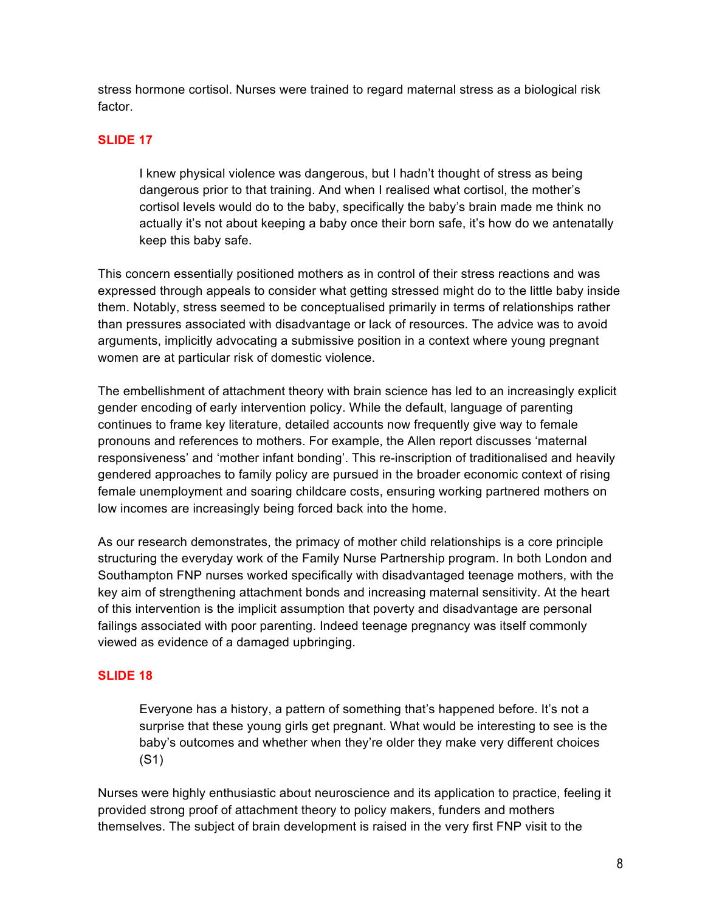stress hormone cortisol. Nurses were trained to regard maternal stress as a biological risk factor.

## **SLIDE 17**

I knew physical violence was dangerous, but I hadn't thought of stress as being dangerous prior to that training. And when I realised what cortisol, the mother's cortisol levels would do to the baby, specifically the baby's brain made me think no actually it's not about keeping a baby once their born safe, it's how do we antenatally keep this baby safe.

This concern essentially positioned mothers as in control of their stress reactions and was expressed through appeals to consider what getting stressed might do to the little baby inside them. Notably, stress seemed to be conceptualised primarily in terms of relationships rather than pressures associated with disadvantage or lack of resources. The advice was to avoid arguments, implicitly advocating a submissive position in a context where young pregnant women are at particular risk of domestic violence.

The embellishment of attachment theory with brain science has led to an increasingly explicit gender encoding of early intervention policy. While the default, language of parenting continues to frame key literature, detailed accounts now frequently give way to female pronouns and references to mothers. For example, the Allen report discusses 'maternal responsiveness' and 'mother infant bonding'. This re-inscription of traditionalised and heavily gendered approaches to family policy are pursued in the broader economic context of rising female unemployment and soaring childcare costs, ensuring working partnered mothers on low incomes are increasingly being forced back into the home.

As our research demonstrates, the primacy of mother child relationships is a core principle structuring the everyday work of the Family Nurse Partnership program. In both London and Southampton FNP nurses worked specifically with disadvantaged teenage mothers, with the key aim of strengthening attachment bonds and increasing maternal sensitivity. At the heart of this intervention is the implicit assumption that poverty and disadvantage are personal failings associated with poor parenting. Indeed teenage pregnancy was itself commonly viewed as evidence of a damaged upbringing.

## **SLIDE 18**

Everyone has a history, a pattern of something that's happened before. It's not a surprise that these young girls get pregnant. What would be interesting to see is the baby's outcomes and whether when they're older they make very different choices (S1)

Nurses were highly enthusiastic about neuroscience and its application to practice, feeling it provided strong proof of attachment theory to policy makers, funders and mothers themselves. The subject of brain development is raised in the very first FNP visit to the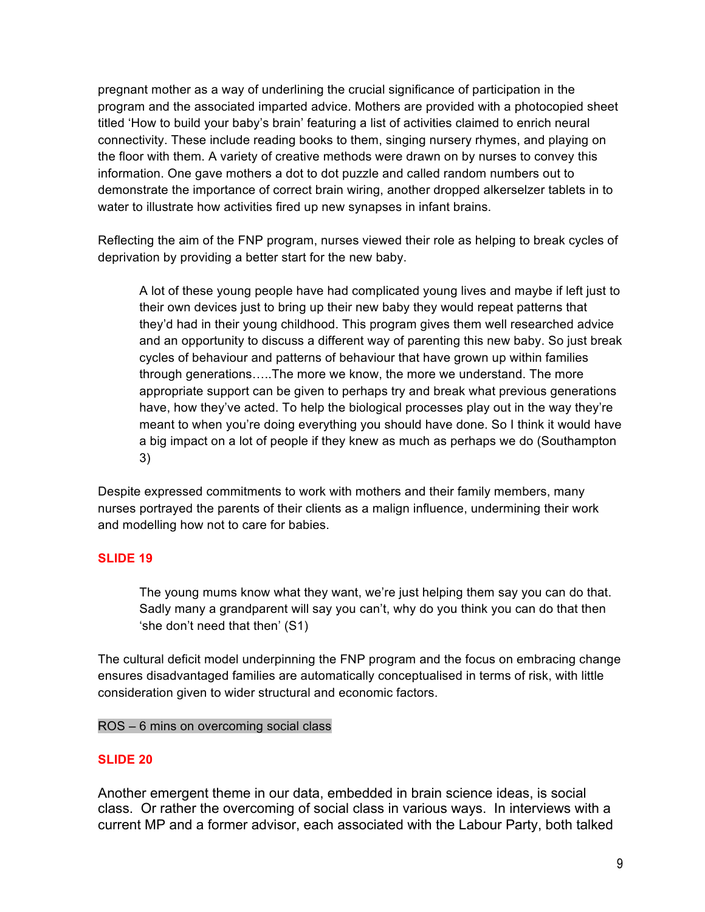pregnant mother as a way of underlining the crucial significance of participation in the program and the associated imparted advice. Mothers are provided with a photocopied sheet titled 'How to build your baby's brain' featuring a list of activities claimed to enrich neural connectivity. These include reading books to them, singing nursery rhymes, and playing on the floor with them. A variety of creative methods were drawn on by nurses to convey this information. One gave mothers a dot to dot puzzle and called random numbers out to demonstrate the importance of correct brain wiring, another dropped alkerselzer tablets in to water to illustrate how activities fired up new synapses in infant brains.

Reflecting the aim of the FNP program, nurses viewed their role as helping to break cycles of deprivation by providing a better start for the new baby.

A lot of these young people have had complicated young lives and maybe if left just to their own devices just to bring up their new baby they would repeat patterns that they'd had in their young childhood. This program gives them well researched advice and an opportunity to discuss a different way of parenting this new baby. So just break cycles of behaviour and patterns of behaviour that have grown up within families through generations…..The more we know, the more we understand. The more appropriate support can be given to perhaps try and break what previous generations have, how they've acted. To help the biological processes play out in the way they're meant to when you're doing everything you should have done. So I think it would have a big impact on a lot of people if they knew as much as perhaps we do (Southampton 3)

Despite expressed commitments to work with mothers and their family members, many nurses portrayed the parents of their clients as a malign influence, undermining their work and modelling how not to care for babies.

## **SLIDE 19**

The young mums know what they want, we're just helping them say you can do that. Sadly many a grandparent will say you can't, why do you think you can do that then 'she don't need that then' (S1)

The cultural deficit model underpinning the FNP program and the focus on embracing change ensures disadvantaged families are automatically conceptualised in terms of risk, with little consideration given to wider structural and economic factors.

#### ROS – 6 mins on overcoming social class

### **SLIDE 20**

Another emergent theme in our data, embedded in brain science ideas, is social class. Or rather the overcoming of social class in various ways. In interviews with a current MP and a former advisor, each associated with the Labour Party, both talked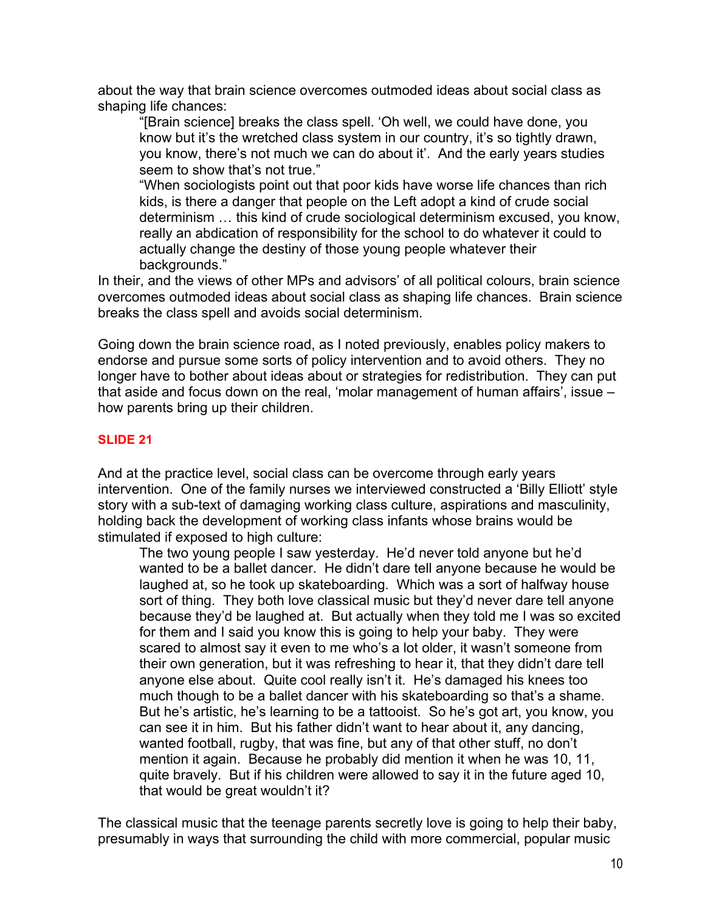about the way that brain science overcomes outmoded ideas about social class as shaping life chances:

"[Brain science] breaks the class spell. 'Oh well, we could have done, you know but it's the wretched class system in our country, it's so tightly drawn, you know, there's not much we can do about it'. And the early years studies seem to show that's not true."

"When sociologists point out that poor kids have worse life chances than rich kids, is there a danger that people on the Left adopt a kind of crude social determinism … this kind of crude sociological determinism excused, you know, really an abdication of responsibility for the school to do whatever it could to actually change the destiny of those young people whatever their backgrounds."

In their, and the views of other MPs and advisors' of all political colours, brain science overcomes outmoded ideas about social class as shaping life chances. Brain science breaks the class spell and avoids social determinism.

Going down the brain science road, as I noted previously, enables policy makers to endorse and pursue some sorts of policy intervention and to avoid others. They no longer have to bother about ideas about or strategies for redistribution. They can put that aside and focus down on the real, 'molar management of human affairs', issue – how parents bring up their children.

# **SLIDE 21**

And at the practice level, social class can be overcome through early years intervention. One of the family nurses we interviewed constructed a 'Billy Elliott' style story with a sub-text of damaging working class culture, aspirations and masculinity, holding back the development of working class infants whose brains would be stimulated if exposed to high culture:

The two young people I saw yesterday. He'd never told anyone but he'd wanted to be a ballet dancer. He didn't dare tell anyone because he would be laughed at, so he took up skateboarding. Which was a sort of halfway house sort of thing. They both love classical music but they'd never dare tell anyone because they'd be laughed at. But actually when they told me I was so excited for them and I said you know this is going to help your baby. They were scared to almost say it even to me who's a lot older, it wasn't someone from their own generation, but it was refreshing to hear it, that they didn't dare tell anyone else about. Quite cool really isn't it. He's damaged his knees too much though to be a ballet dancer with his skateboarding so that's a shame. But he's artistic, he's learning to be a tattooist. So he's got art, you know, you can see it in him. But his father didn't want to hear about it, any dancing, wanted football, rugby, that was fine, but any of that other stuff, no don't mention it again. Because he probably did mention it when he was 10, 11, quite bravely. But if his children were allowed to say it in the future aged 10, that would be great wouldn't it?

The classical music that the teenage parents secretly love is going to help their baby, presumably in ways that surrounding the child with more commercial, popular music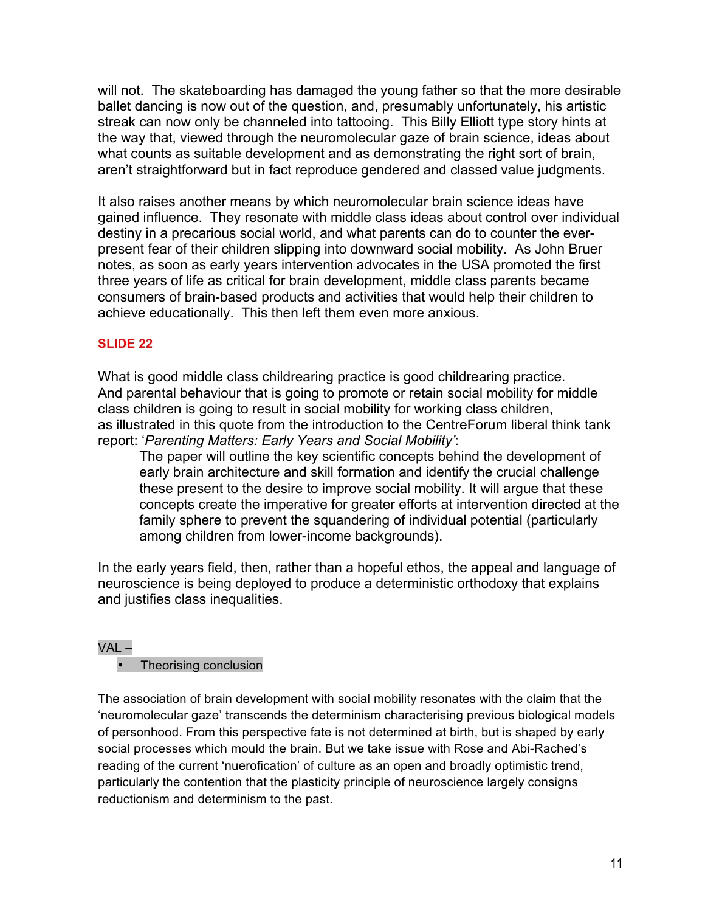will not. The skateboarding has damaged the young father so that the more desirable ballet dancing is now out of the question, and, presumably unfortunately, his artistic streak can now only be channeled into tattooing. This Billy Elliott type story hints at the way that, viewed through the neuromolecular gaze of brain science, ideas about what counts as suitable development and as demonstrating the right sort of brain, aren't straightforward but in fact reproduce gendered and classed value judgments.

It also raises another means by which neuromolecular brain science ideas have gained influence. They resonate with middle class ideas about control over individual destiny in a precarious social world, and what parents can do to counter the everpresent fear of their children slipping into downward social mobility. As John Bruer notes, as soon as early years intervention advocates in the USA promoted the first three years of life as critical for brain development, middle class parents became consumers of brain-based products and activities that would help their children to achieve educationally. This then left them even more anxious.

# **SLIDE 22**

What is good middle class childrearing practice is good childrearing practice. And parental behaviour that is going to promote or retain social mobility for middle class children is going to result in social mobility for working class children, as illustrated in this quote from the introduction to the CentreForum liberal think tank report: '*Parenting Matters: Early Years and Social Mobility'*:

The paper will outline the key scientific concepts behind the development of early brain architecture and skill formation and identify the crucial challenge these present to the desire to improve social mobility. It will argue that these concepts create the imperative for greater efforts at intervention directed at the family sphere to prevent the squandering of individual potential (particularly among children from lower-income backgrounds).

In the early years field, then, rather than a hopeful ethos, the appeal and language of neuroscience is being deployed to produce a deterministic orthodoxy that explains and justifies class inequalities.

## VAL –

#### • Theorising conclusion

The association of brain development with social mobility resonates with the claim that the 'neuromolecular gaze' transcends the determinism characterising previous biological models of personhood. From this perspective fate is not determined at birth, but is shaped by early social processes which mould the brain. But we take issue with Rose and Abi-Rached's reading of the current 'nuerofication' of culture as an open and broadly optimistic trend, particularly the contention that the plasticity principle of neuroscience largely consigns reductionism and determinism to the past.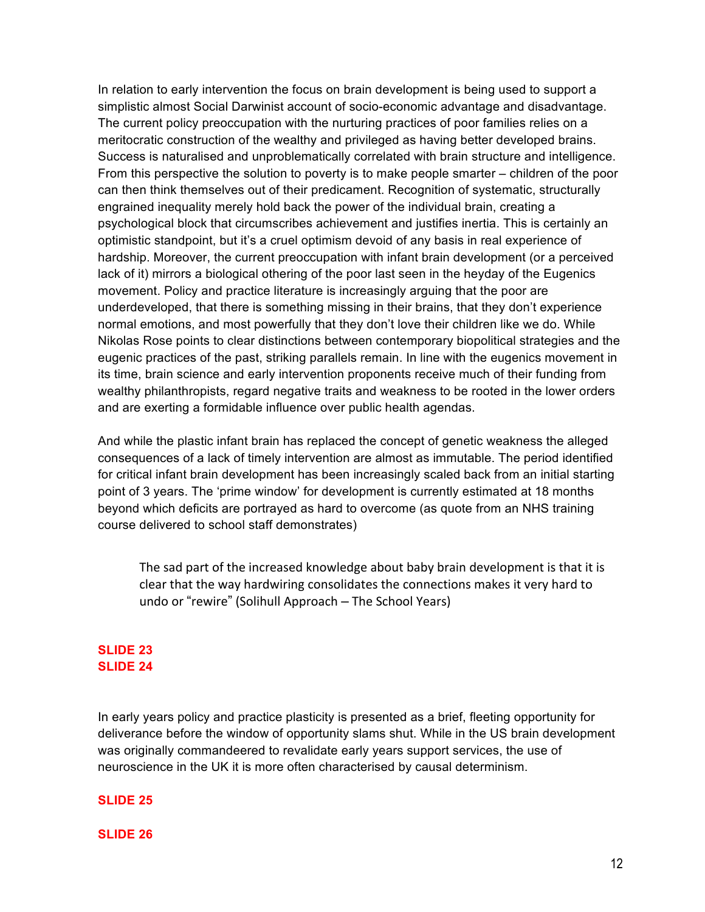In relation to early intervention the focus on brain development is being used to support a simplistic almost Social Darwinist account of socio-economic advantage and disadvantage. The current policy preoccupation with the nurturing practices of poor families relies on a meritocratic construction of the wealthy and privileged as having better developed brains. Success is naturalised and unproblematically correlated with brain structure and intelligence. From this perspective the solution to poverty is to make people smarter – children of the poor can then think themselves out of their predicament. Recognition of systematic, structurally engrained inequality merely hold back the power of the individual brain, creating a psychological block that circumscribes achievement and justifies inertia. This is certainly an optimistic standpoint, but it's a cruel optimism devoid of any basis in real experience of hardship. Moreover, the current preoccupation with infant brain development (or a perceived lack of it) mirrors a biological othering of the poor last seen in the heyday of the Eugenics movement. Policy and practice literature is increasingly arguing that the poor are underdeveloped, that there is something missing in their brains, that they don't experience normal emotions, and most powerfully that they don't love their children like we do. While Nikolas Rose points to clear distinctions between contemporary biopolitical strategies and the eugenic practices of the past, striking parallels remain. In line with the eugenics movement in its time, brain science and early intervention proponents receive much of their funding from wealthy philanthropists, regard negative traits and weakness to be rooted in the lower orders and are exerting a formidable influence over public health agendas.

And while the plastic infant brain has replaced the concept of genetic weakness the alleged consequences of a lack of timely intervention are almost as immutable. The period identified for critical infant brain development has been increasingly scaled back from an initial starting point of 3 years. The 'prime window' for development is currently estimated at 18 months beyond which deficits are portrayed as hard to overcome (as quote from an NHS training course delivered to school staff demonstrates)

The sad part of the increased knowledge about baby brain development is that it is clear that the way hardwiring consolidates the connections makes it very hard to undo or "rewire" (Solihull Approach – The School Years)

#### **SLIDE 23 SLIDE 24**

In early years policy and practice plasticity is presented as a brief, fleeting opportunity for deliverance before the window of opportunity slams shut. While in the US brain development was originally commandeered to revalidate early years support services, the use of neuroscience in the UK it is more often characterised by causal determinism.

#### **SLIDE 25**

#### **SLIDE 26**